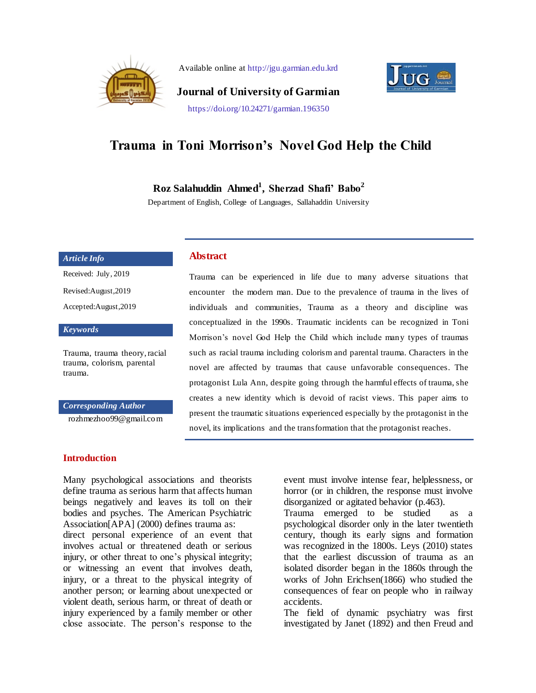

Available online at http://jgu.garmian.edu.krd



**Journal of University of Garmian** https://doi.org/10.24271/garmian.196350

# **Trauma in Toni Morrison's Novel God Help the Child**

**Roz Salahuddin Ahmed<sup>1</sup> , Sherzad Shafi' Babo<sup>2</sup>**

Department of English, College of Languages, Sallahaddin University

#### *Article Info*

Received: July, 2019

Revised:August,2019

Accepted:August,2019

*Keywords*

Trauma, trauma theory, racial trauma, colorism, parental trauma.

#### *Corresponding Author*

rozhmezhoo99@gmail.com

#### **Abstract**

Trauma can be experienced in life due to many adverse situations that encounter the modern man. Due to the prevalence of trauma in the lives of individuals and communities, Trauma as a theory and discipline was conceptualized in the 1990s. Traumatic incidents can be recognized in Toni Morrison's novel God Help the Child which include many types of traumas such as racial trauma including colorism and parental trauma. Characters in the novel are affected by traumas that cause unfavorable consequences. The protagonist Lula Ann, despite going through the harmful effects of trauma, she creates a new identity which is devoid of racist views. This paper aims to present the traumatic situations experienced especially by the protagonist in the novel, its implications and the transformation that the protagonist reaches.

### **Introduction**

Many psychological associations and theorists define trauma as serious harm that affects human beings negatively and leaves its toll on their bodies and psyches. The American Psychiatric Association[APA] (2000) defines trauma as: direct personal experience of an event that involves actual or threatened death or serious injury, or other threat to one's physical integrity; or witnessing an event that involves death, injury, or a threat to the physical integrity of another person; or learning about unexpected or violent death, serious harm, or threat of death or injury experienced by a family member or other close associate. The person's response to the

event must involve intense fear, helplessness, or horror (or in children, the response must involve disorganized or agitated behavior (p.463).

Trauma emerged to be studied as a psychological disorder only in the later twentieth century, though its early signs and formation was recognized in the 1800s. Leys (2010) states that the earliest discussion of trauma as an isolated disorder began in the 1860s through the works of John Erichsen(1866) who studied the consequences of fear on people who in railway accidents.

The field of dynamic psychiatry was first investigated by Janet (1892) and then Freud and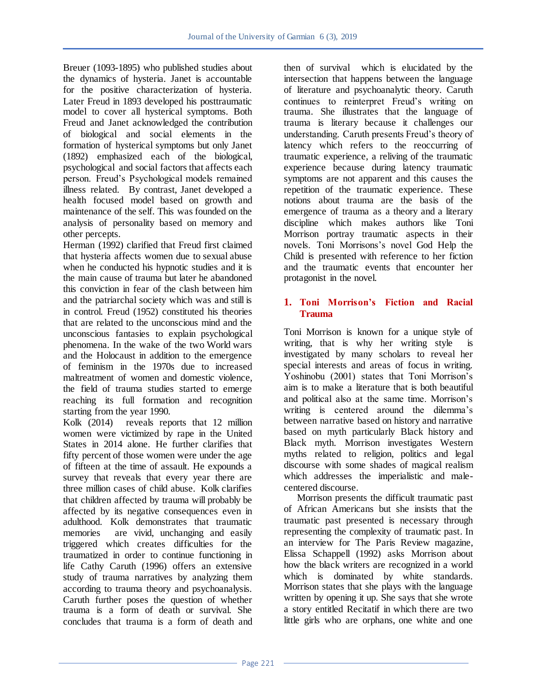Breuer (1093-1895) who published studies about the dynamics of hysteria. Janet is accountable for the positive characterization of hysteria. Later Freud in 1893 developed his posttraumatic model to cover all hysterical symptoms. Both Freud and Janet acknowledged the contribution of biological and social elements in the formation of hysterical symptoms but only Janet (1892) emphasized each of the biological, psychological and social factors that affects each person. Freud's Psychological models remained illness related. By contrast, Janet developed a health focused model based on growth and maintenance of the self. This was founded on the analysis of personality based on memory and other percepts.

Herman (1992) clarified that Freud first claimed that hysteria affects women due to sexual abuse when he conducted his hypnotic studies and it is the main cause of trauma but later he abandoned this conviction in fear of the clash between him and the patriarchal society which was and still is in control. Freud (1952) constituted his theories that are related to the unconscious mind and the unconscious fantasies to explain psychological phenomena. In the wake of the two World wars and the Holocaust in addition to the emergence of feminism in the 1970s due to increased maltreatment of women and domestic violence, the field of trauma studies started to emerge reaching its full formation and recognition starting from the year 1990.

Kolk (2014) reveals reports that 12 million women were victimized by rape in the United States in 2014 alone. He further clarifies that fifty percent of those women were under the age of fifteen at the time of assault. He expounds a survey that reveals that every year there are three million cases of child abuse. Kolk clarifies that children affected by trauma will probably be affected by its negative consequences even in adulthood. Kolk demonstrates that traumatic memories are vivid, unchanging and easily triggered which creates difficulties for the traumatized in order to continue functioning in life Cathy Caruth (1996) offers an extensive study of trauma narratives by analyzing them according to trauma theory and psychoanalysis. Caruth further poses the question of whether trauma is a form of death or survival. She concludes that trauma is a form of death and

then of survival which is elucidated by the intersection that happens between the language of literature and psychoanalytic theory. Caruth continues to reinterpret Freud's writing on trauma. She illustrates that the language of trauma is literary because it challenges our understanding. Caruth presents Freud's theory of latency which refers to the reoccurring of traumatic experience, a reliving of the traumatic experience because during latency traumatic symptoms are not apparent and this causes the repetition of the traumatic experience. These notions about trauma are the basis of the emergence of trauma as a theory and a literary discipline which makes authors like Toni Morrison portray traumatic aspects in their novels. Toni Morrisons's novel God Help the Child is presented with reference to her fiction and the traumatic events that encounter her protagonist in the novel.

### **1. Toni Morrison's Fiction and Racial Trauma**

Toni Morrison is known for a unique style of writing, that is why her writing style investigated by many scholars to reveal her special interests and areas of focus in writing. Yoshinobu (2001) states that Toni Morrison's aim is to make a literature that is both beautiful and political also at the same time. Morrison's writing is centered around the dilemma's between narrative based on history and narrative based on myth particularly Black history and Black myth. Morrison investigates Western myths related to religion, politics and legal discourse with some shades of magical realism which addresses the imperialistic and malecentered discourse.

 Morrison presents the difficult traumatic past of African Americans but she insists that the traumatic past presented is necessary through representing the complexity of traumatic past. In an interview for The Paris Review magazine, Elissa Schappell (1992) asks Morrison about how the black writers are recognized in a world which is dominated by white standards. Morrison states that she plays with the language written by opening it up. She says that she wrote a story entitled Recitatif in which there are two little girls who are orphans, one white and one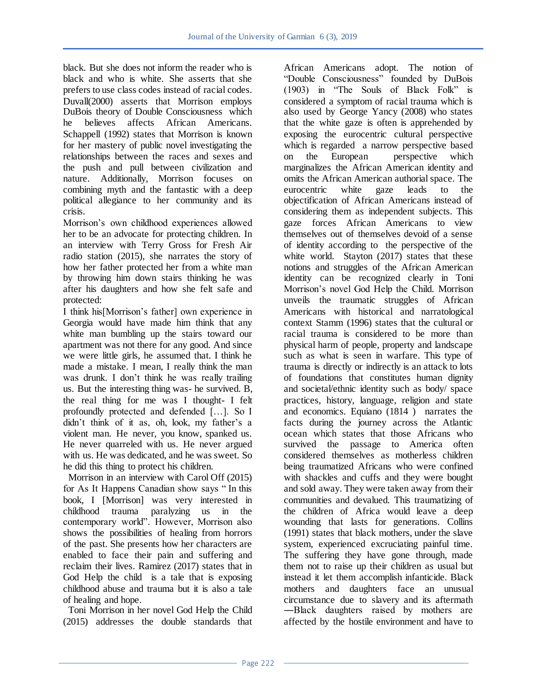black. But she does not inform the reader who is black and who is white. She asserts that she prefers to use class codes instead of racial codes. Duvall(2000) asserts that Morrison employs DuBois theory of Double Consciousness which he believes affects African Americans. Schappell (1992) states that Morrison is known for her mastery of public novel investigating the relationships between the races and sexes and the push and pull between civilization and nature. Additionally, Morrison focuses on combining myth and the fantastic with a deep political allegiance to her community and its crisis.

Morrison's own childhood experiences allowed her to be an advocate for protecting children. In an interview with Terry Gross for Fresh Air radio station (2015), she narrates the story of how her father protected her from a white man by throwing him down stairs thinking he was after his daughters and how she felt safe and protected:

I think his[Morrison's father] own experience in Georgia would have made him think that any white man bumbling up the stairs toward our apartment was not there for any good. And since we were little girls, he assumed that. I think he made a mistake. I mean, I really think the man was drunk. I don't think he was really trailing us. But the interesting thing was- he survived. B, the real thing for me was I thought- I felt profoundly protected and defended […]. So I didn't think of it as, oh, look, my father's a violent man. He never, you know, spanked us. He never quarreled with us. He never argued with us. He was dedicated, and he was sweet. So he did this thing to protect his children.

 Morrison in an interview with Carol Off (2015) for As It Happens Canadian show says "In this book, I [Morrison] was very interested in childhood trauma paralyzing us in the contemporary world". However, Morrison also shows the possibilities of healing from horrors of the past. She presents how her characters are enabled to face their pain and suffering and reclaim their lives. Ramirez (2017) states that in God Help the child is a tale that is exposing childhood abuse and trauma but it is also a tale of healing and hope.

 Toni Morrison in her novel God Help the Child (2015) addresses the double standards that

African Americans adopt. The notion of "Double Consciousness" founded by DuBois  $(1903)$  in "The Souls of Black Folk" is considered a symptom of racial trauma which is also used by George Yancy (2008) who states that the white gaze is often is apprehended by exposing the eurocentric cultural perspective which is regarded a narrow perspective based on the European perspective which marginalizes the African American identity and omits the African American authorial space. The eurocentric white gaze leads to the objectification of African Americans instead of considering them as independent subjects. This gaze forces African Americans to view themselves out of themselves devoid of a sense of identity according to the perspective of the white world. Stayton (2017) states that these notions and struggles of the African American identity can be recognized clearly in Toni Morrison's novel God Help the Child. Morrison unveils the traumatic struggles of African Americans with historical and narratological context Stamm (1996) states that the cultural or racial trauma is considered to be more than physical harm of people, property and landscape such as what is seen in warfare. This type of trauma is directly or indirectly is an attack to lots of foundations that constitutes human dignity and societal/ethnic identity such as body/ space practices, history, language, religion and state and economics. Equiano (1814 ) narrates the facts during the journey across the Atlantic ocean which states that those Africans who survived the passage to America often considered themselves as motherless children being traumatized Africans who were confined with shackles and cuffs and they were bought and sold away. They were taken away from their communities and devalued. This traumatizing of the children of Africa would leave a deep wounding that lasts for generations. Collins (1991) states that black mothers, under the slave system, experienced excruciating painful time. The suffering they have gone through, made them not to raise up their children as usual but instead it let them accomplish infanticide. Black mothers and daughters face an unusual circumstance due to slavery and its aftermath ―Black daughters raised by mothers are affected by the hostile environment and have to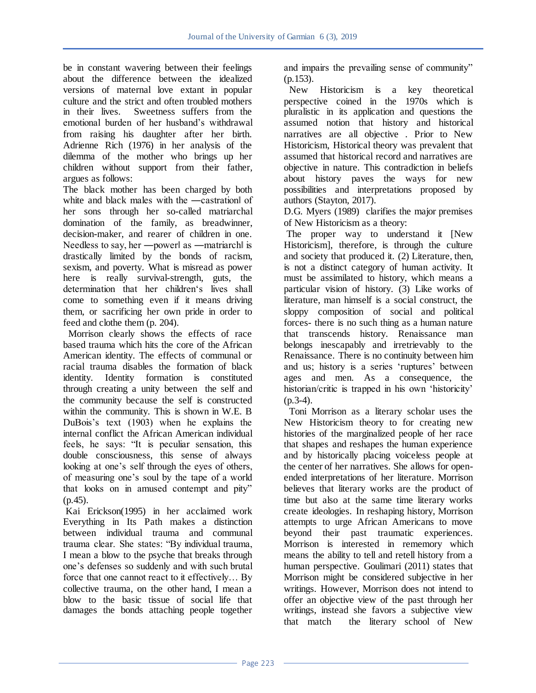be in constant wavering between their feelings about the difference between the idealized versions of maternal love extant in popular culture and the strict and often troubled mothers<br>in their lives. Sweetness suffers from the Sweetness suffers from the emotional burden of her husband's withdrawal from raising his daughter after her birth. Adrienne Rich (1976) in her analysis of the dilemma of the mother who brings up her children without support from their father, argues as follows:

The black mother has been charged by both white and black males with the —castration of her sons through her so-called matriarchal domination of the family, as breadwinner, decision-maker, and rearer of children in one. Needless to say, her —powerl as —matriarchl is drastically limited by the bonds of racism, sexism, and poverty. What is misread as power here is really survival-strength, guts, the determination that her children's lives shall come to something even if it means driving them, or sacrificing her own pride in order to feed and clothe them (p. 204).

 Morrison clearly shows the effects of race based trauma which hits the core of the African American identity. The effects of communal or racial trauma disables the formation of black identity. Identity formation is constituted through creating a unity between the self and the community because the self is constructed within the community. This is shown in W.E. B DuBois's text (1903) when he explains the internal conflict the African American individual feels, he says: "It is peculiar sensation, this double consciousness, this sense of always looking at one's self through the eyes of others, of measuring one's soul by the tape of a world that looks on in amused contempt and pity" (p.45).

Kai Erickson(1995) in her acclaimed work Everything in Its Path makes a distinction between individual trauma and communal trauma clear. She states: "By individual trauma, I mean a blow to the psyche that breaks through one's defenses so suddenly and with such brutal force that one cannot react to it effectively… By collective trauma, on the other hand, I mean a blow to the basic tissue of social life that damages the bonds attaching people together

and impairs the prevailing sense of community" (p.153).

 New Historicism is a key theoretical perspective coined in the 1970s which is pluralistic in its application and questions the assumed notion that history and historical narratives are all objective . Prior to New Historicism, Historical theory was prevalent that assumed that historical record and narratives are objective in nature. This contradiction in beliefs about history paves the ways for new possibilities and interpretations proposed by authors (Stayton, 2017).

D.G. Myers (1989) clarifies the major premises of New Historicism as a theory:

The proper way to understand it [New Historicism], therefore, is through the culture and society that produced it. (2) Literature, then, is not a distinct category of human activity. It must be assimilated to history, which means a particular vision of history. (3) Like works of literature, man himself is a social construct, the sloppy composition of social and political forces- there is no such thing as a human nature that transcends history. Renaissance man belongs inescapably and irretrievably to the Renaissance. There is no continuity between him and us; history is a series 'ruptures' between ages and men. As a consequence, the historian/critic is trapped in his own 'historicity'  $(p.3-4)$ .

 Toni Morrison as a literary scholar uses the New Historicism theory to for creating new histories of the marginalized people of her race that shapes and reshapes the human experience and by historically placing voiceless people at the center of her narratives. She allows for openended interpretations of her literature. Morrison believes that literary works are the product of time but also at the same time literary works create ideologies. In reshaping history, Morrison attempts to urge African Americans to move beyond their past traumatic experiences. Morrison is interested in rememory which means the ability to tell and retell history from a human perspective. Goulimari (2011) states that Morrison might be considered subjective in her writings. However, Morrison does not intend to offer an objective view of the past through her writings, instead she favors a subjective view that match the literary school of New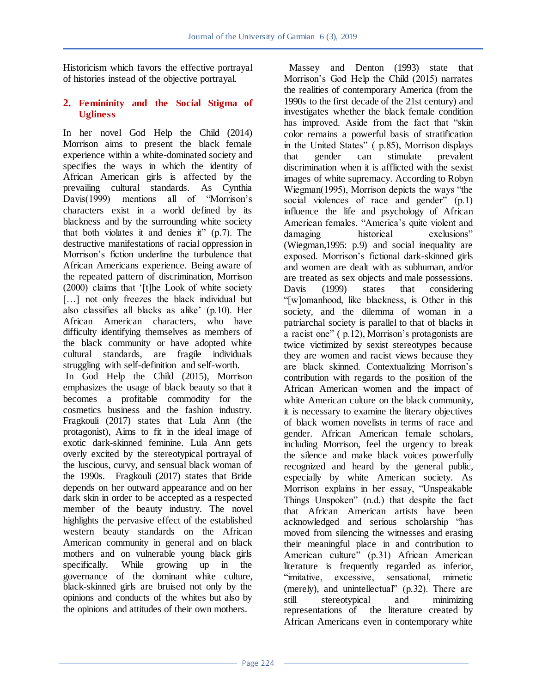Historicism which favors the effective portrayal of histories instead of the objective portrayal.

## **2. Femininity and the Social Stigma of Ugliness**

In her novel God Help the Child (2014) Morrison aims to present the black female experience within a white-dominated society and specifies the ways in which the identity of African American girls is affected by the prevailing cultural standards. As Cynthia Davis(1999) mentions all of "Morrison's characters exist in a world defined by its blackness and by the surrounding white society that both violates it and denies it"  $(p.7)$ . The destructive manifestations of racial oppression in Morrison's fiction underline the turbulence that African Americans experience. Being aware of the repeated pattern of discrimination, Morrison (2000) claims that ‗[t]he Look of white society [...] not only freezes the black individual but also classifies all blacks as alike' (p.10). Her African American characters, who have difficulty identifying themselves as members of the black community or have adopted white cultural standards, are fragile individuals struggling with self-definition and self-worth.

In God Help the Child (2015), Morrison emphasizes the usage of black beauty so that it becomes a profitable commodity for the cosmetics business and the fashion industry. Fragkouli (2017) states that Lula Ann (the protagonist), Aims to fit in the ideal image of exotic dark-skinned feminine. Lula Ann gets overly excited by the stereotypical portrayal of the luscious, curvy, and sensual black woman of the 1990s. Fragkouli (2017) states that Bride depends on her outward appearance and on her dark skin in order to be accepted as a respected member of the beauty industry. The novel highlights the pervasive effect of the established western beauty standards on the African American community in general and on black mothers and on vulnerable young black girls specifically. While growing up in the governance of the dominant white culture, black-skinned girls are bruised not only by the opinions and conducts of the whites but also by the opinions and attitudes of their own mothers.

 Massey and Denton (1993) state that Morrison's God Help the Child (2015) narrates the realities of contemporary America (from the 1990s to the first decade of the 21st century) and investigates whether the black female condition has improved. Aside from the fact that "skin color remains a powerful basis of stratification in the United States" (p.85), Morrison displays that gender can stimulate prevalent discrimination when it is afflicted with the sexist images of white supremacy. According to Robyn Wiegman(1995), Morrison depicts the ways "the social violences of race and gender"  $(p,1)$ influence the life and psychology of African American females. "America's quite violent and damaging historical exclusions" (Wiegman,1995: p.9) and social inequality are exposed. Morrison's fictional dark-skinned girls and women are dealt with as subhuman, and/or are treated as sex objects and male possessions. Davis (1999) states that considering ―[w]omanhood, like blackness, is Other in this society, and the dilemma of woman in a patriarchal society is parallel to that of blacks in  $\alpha$  racist one" ( p.12), Morrison's protagonists are twice victimized by sexist stereotypes because they are women and racist views because they are black skinned. Contextualizing Morrison's contribution with regards to the position of the African American women and the impact of white American culture on the black community, it is necessary to examine the literary objectives of black women novelists in terms of race and gender. African American female scholars, including Morrison, feel the urgency to break the silence and make black voices powerfully recognized and heard by the general public, especially by white American society. As Morrison explains in her essay, "Unspeakable Things Unspoken" (n.d.) that despite the fact that African American artists have been acknowledged and serious scholarship "has moved from silencing the witnesses and erasing their meaningful place in and contribution to American culture" (p.31) African American literature is frequently regarded as inferior, "imitative, excessive, sensational, mimetic (merely), and unintellectual"  $(p.32)$ . There are still stereotypical and minimizing representations of the literature created by African Americans even in contemporary white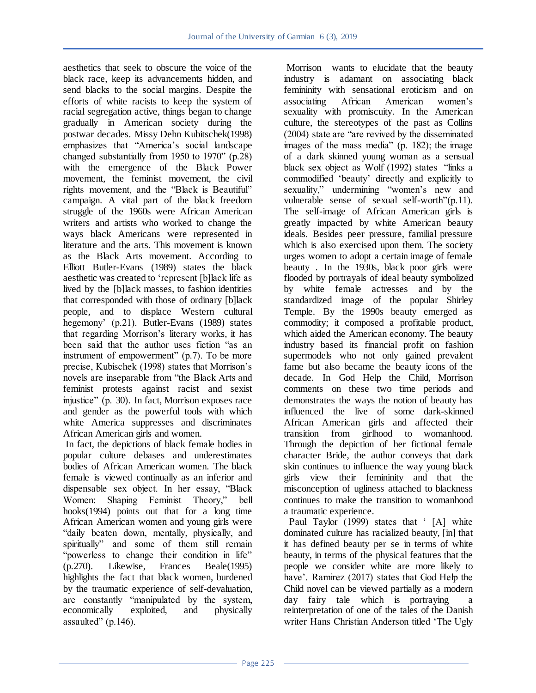aesthetics that seek to obscure the voice of the black race, keep its advancements hidden, and send blacks to the social margins. Despite the efforts of white racists to keep the system of racial segregation active, things began to change gradually in American society during the postwar decades. Missy Dehn Kubitschek(1998) emphasizes that "America's social landscape changed substantially from 1950 to 1970"  $(p.28)$ with the emergence of the Black Power movement, the feminist movement, the civil rights movement, and the "Black is Beautiful" campaign. A vital part of the black freedom struggle of the 1960s were African American writers and artists who worked to change the ways black Americans were represented in literature and the arts. This movement is known as the Black Arts movement. According to Elliott Butler-Evans (1989) states the black aesthetic was created to 'represent [b]lack life as lived by the [b]lack masses, to fashion identities that corresponded with those of ordinary [b]lack people, and to displace Western cultural hegemony' (p.21). Butler-Evans (1989) states that regarding Morrison's literary works, it has been said that the author uses fiction "as an instrument of empowerment" (p.7). To be more precise, Kubischek (1998) states that Morrison's novels are inseparable from "the Black Arts and feminist protests against racist and sexist injustice" (p. 30). In fact, Morrison exposes race and gender as the powerful tools with which white America suppresses and discriminates African American girls and women.

In fact, the depictions of black female bodies in popular culture debases and underestimates bodies of African American women. The black female is viewed continually as an inferior and dispensable sex object. In her essay, "Black Women: Shaping Feminist Theory," bell hooks(1994) points out that for a long time African American women and young girls were "daily beaten down, mentally, physically, and spiritually" and some of them still remain "powerless to change their condition in life" (p.270). Likewise, Frances Beale(1995) highlights the fact that black women, burdened by the traumatic experience of self-devaluation, are constantly "manipulated by the system, economically exploited, and physically assaulted"  $(p.146)$ .

Morrison wants to elucidate that the beauty industry is adamant on associating black femininity with sensational eroticism and on<br>associating African American women's American women's sexuality with promiscuity. In the American culture, the stereotypes of the past as Collins  $(2004)$  state are "are revived by the disseminated images of the mass media" (p. 182); the image of a dark skinned young woman as a sensual black sex object as Wolf (1992) states "links a commodified ‗beauty' directly and explicitly to sexuality," undermining "women's new and vulnerable sense of sexual self-worth" $(p,11)$ . The self-image of African American girls is greatly impacted by white American beauty ideals. Besides peer pressure, familial pressure which is also exercised upon them. The society urges women to adopt a certain image of female beauty . In the 1930s, black poor girls were flooded by portrayals of ideal beauty symbolized by white female actresses and by the standardized image of the popular Shirley Temple. By the 1990s beauty emerged as commodity; it composed a profitable product, which aided the American economy. The beauty industry based its financial profit on fashion supermodels who not only gained prevalent fame but also became the beauty icons of the decade. In God Help the Child, Morrison comments on these two time periods and demonstrates the ways the notion of beauty has influenced the live of some dark-skinned African American girls and affected their transition from girlhood to womanhood. Through the depiction of her fictional female character Bride, the author conveys that dark skin continues to influence the way young black girls view their femininity and that the misconception of ugliness attached to blackness continues to make the transition to womanhood a traumatic experience.

Paul Taylor (1999) states that '[A] white dominated culture has racialized beauty, [in] that it has defined beauty per se in terms of white beauty, in terms of the physical features that the people we consider white are more likely to have'. Ramirez (2017) states that God Help the Child novel can be viewed partially as a modern day fairy tale which is portraying a reinterpretation of one of the tales of the Danish writer Hans Christian Anderson titled 'The Ugly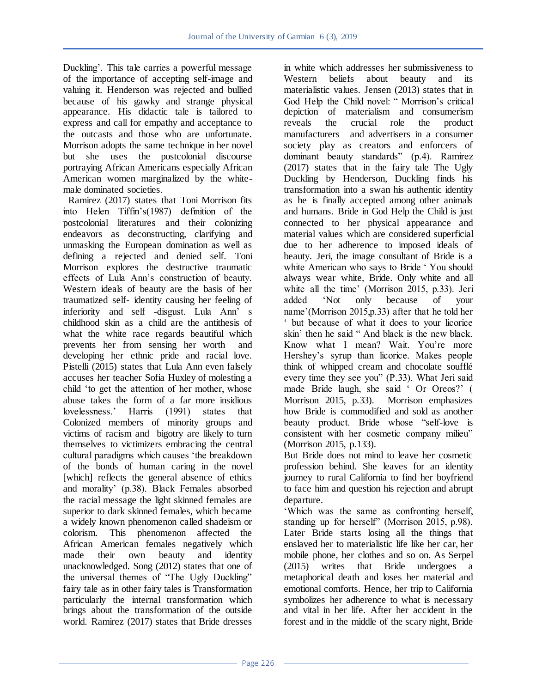Duckling'. This tale carries a powerful message of the importance of accepting self-image and valuing it. Henderson was rejected and bullied because of his gawky and strange physical appearance. His didactic tale is tailored to express and call for empathy and acceptance to the outcasts and those who are unfortunate. Morrison adopts the same technique in her novel but she uses the postcolonial discourse portraying African Americans especially African American women marginalized by the whitemale dominated societies.

 Ramirez (2017) states that Toni Morrison fits into Helen Tiffin's(1987) definition of the postcolonial literatures and their colonizing endeavors as deconstructing, clarifying and unmasking the European domination as well as defining a rejected and denied self. Toni Morrison explores the destructive traumatic effects of Lula Ann's construction of beauty. Western ideals of beauty are the basis of her traumatized self- identity causing her feeling of inferiority and self -disgust. Lula Ann' s childhood skin as a child are the antithesis of what the white race regards beautiful which prevents her from sensing her worth and developing her ethnic pride and racial love. Pistelli (2015) states that Lula Ann even falsely accuses her teacher Sofia Huxley of molesting a child 'to get the attention of her mother, whose abuse takes the form of a far more insidious lovelessness.' Harris (1991) states that Colonized members of minority groups and victims of racism and bigotry are likely to turn themselves to victimizers embracing the central cultural paradigms which causes 'the breakdown of the bonds of human caring in the novel [which] reflects the general absence of ethics and morality' (p.38). Black Females absorbed the racial message the light skinned females are superior to dark skinned females, which became a widely known phenomenon called shadeism or colorism. This phenomenon affected the African American females negatively which made their own beauty and identity unacknowledged. Song (2012) states that one of the universal themes of "The Ugly Duckling" fairy tale as in other fairy tales is Transformation particularly the internal transformation which brings about the transformation of the outside world. Ramirez (2017) states that Bride dresses

in white which addresses her submissiveness to Western beliefs about beauty and its materialistic values. Jensen (2013) states that in God Help the Child novel: " Morrison's critical depiction of materialism and consumerism reveals the crucial role the product manufacturers and advertisers in a consumer society play as creators and enforcers of dominant beauty standards" (p.4). Ramirez (2017) states that in the fairy tale The Ugly Duckling by Henderson, Duckling finds his transformation into a swan his authentic identity as he is finally accepted among other animals and humans. Bride in God Help the Child is just connected to her physical appearance and material values which are considered superficial due to her adherence to imposed ideals of beauty. Jeri, the image consultant of Bride is a white American who says to Bride 'You should always wear white, Bride. Only white and all white all the time' (Morrison 2015, p.33). Jeri added 'Not only because of your name'(Morrison 2015,p.33) after that he told her ‗ but because of what it does to your licorice skin' then he said "And black is the new black. Know what I mean? Wait. You're more Hershey's syrup than licorice. Makes people think of whipped cream and chocolate soufflé every time they see you" (P.33). What Jeri said made Bride laugh, she said ‗ Or Oreos?' ( Morrison 2015, p.33). Morrison emphasizes how Bride is commodified and sold as another beauty product. Bride whose "self-love is consistent with her cosmetic company milieu" (Morrison 2015, p.133).

But Bride does not mind to leave her cosmetic profession behind. She leaves for an identity journey to rural California to find her boyfriend to face him and question his rejection and abrupt departure.

‗Which was the same as confronting herself, standing up for herself" (Morrison 2015, p.98). Later Bride starts losing all the things that enslaved her to materialistic life like her car, her mobile phone, her clothes and so on. As Serpel (2015) writes that Bride undergoes a metaphorical death and loses her material and emotional comforts. Hence, her trip to California symbolizes her adherence to what is necessary and vital in her life. After her accident in the forest and in the middle of the scary night, Bride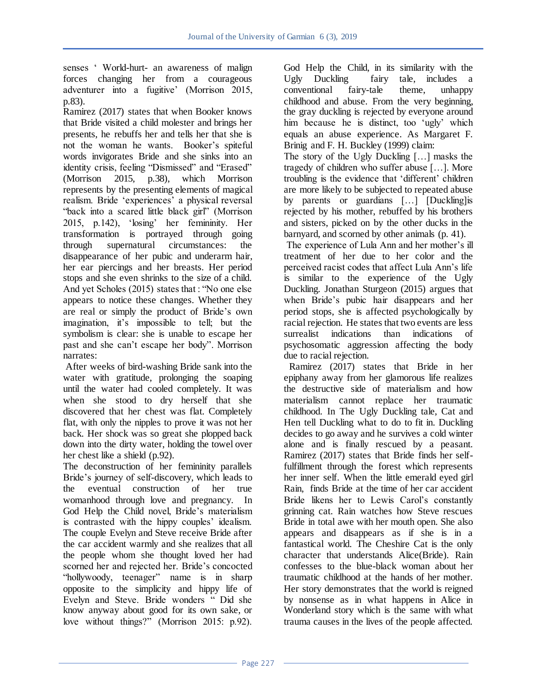senses ‗ World-hurt- an awareness of malign forces changing her from a courageous adventurer into a fugitive' (Morrison 2015, p.83).

Ramirez (2017) states that when Booker knows that Bride visited a child molester and brings her presents, he rebuffs her and tells her that she is not the woman he wants. Booker's spiteful words invigorates Bride and she sinks into an identity crisis, feeling "Dismissed" and "Erased" (Morrison 2015, p.38), which Morrison represents by the presenting elements of magical realism. Bride 'experiences' a physical reversal "back into a scared little black girl" (Morrison 2015, p.142), ‗losing' her femininity. Her transformation is portrayed through going through supernatural circumstances: the disappearance of her pubic and underarm hair, her ear piercings and her breasts. Her period stops and she even shrinks to the size of a child. And yet Scholes (2015) states that : "No one else appears to notice these changes. Whether they are real or simply the product of Bride's own imagination, it's impossible to tell; but the symbolism is clear: she is unable to escape her past and she can't escape her body". Morrison narrates:

After weeks of bird-washing Bride sank into the water with gratitude, prolonging the soaping until the water had cooled completely. It was when she stood to dry herself that she discovered that her chest was flat. Completely flat, with only the nipples to prove it was not her back. Her shock was so great she plopped back down into the dirty water, holding the towel over her chest like a shield (p.92).

The deconstruction of her femininity parallels Bride's journey of self-discovery, which leads to the eventual construction of her true womanhood through love and pregnancy. In God Help the Child novel, Bride's materialism is contrasted with the hippy couples' idealism. The couple Evelyn and Steve receive Bride after the car accident warmly and she realizes that all the people whom she thought loved her had scorned her and rejected her. Bride's concocted "hollywoody, teenager" name is in sharp opposite to the simplicity and hippy life of Evelyn and Steve. Bride wonders " Did she know anyway about good for its own sake, or love without things?" (Morrison 2015: p.92).

God Help the Child, in its similarity with the Ugly Duckling fairy tale, includes a conventional fairy-tale theme, unhappy childhood and abuse. From the very beginning, the gray duckling is rejected by everyone around him because he is distinct, too 'ugly' which equals an abuse experience. As Margaret F. Brinig and F. H. Buckley (1999) claim:

The story of the Ugly Duckling […] masks the tragedy of children who suffer abuse […]. More troubling is the evidence that 'different' children are more likely to be subjected to repeated abuse by parents or guardians […] [Duckling]is rejected by his mother, rebuffed by his brothers and sisters, picked on by the other ducks in the barnyard, and scorned by other animals (p. 41).

The experience of Lula Ann and her mother's ill treatment of her due to her color and the perceived racist codes that affect Lula Ann's life is similar to the experience of the Ugly Duckling. Jonathan Sturgeon (2015) argues that when Bride's pubic hair disappears and her period stops, she is affected psychologically by racial rejection. He states that two events are less surrealist indications than indications of psychosomatic aggression affecting the body due to racial rejection.

 Ramirez (2017) states that Bride in her epiphany away from her glamorous life realizes the destructive side of materialism and how materialism cannot replace her traumatic childhood. In The Ugly Duckling tale, Cat and Hen tell Duckling what to do to fit in. Duckling decides to go away and he survives a cold winter alone and is finally rescued by a peasant. Ramirez (2017) states that Bride finds her selffulfillment through the forest which represents her inner self. When the little emerald eyed girl Rain, finds Bride at the time of her car accident Bride likens her to Lewis Carol's constantly grinning cat. Rain watches how Steve rescues Bride in total awe with her mouth open. She also appears and disappears as if she is in a fantastical world. The Cheshire Cat is the only character that understands Alice(Bride). Rain confesses to the blue-black woman about her traumatic childhood at the hands of her mother. Her story demonstrates that the world is reigned by nonsense as in what happens in Alice in Wonderland story which is the same with what trauma causes in the lives of the people affected.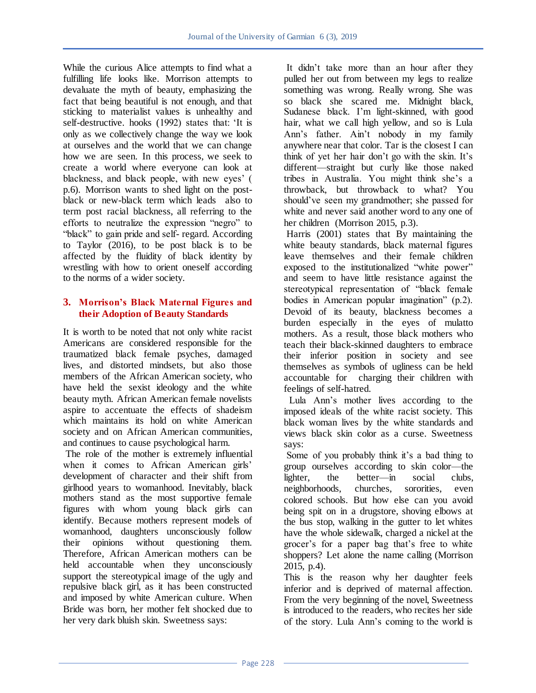While the curious Alice attempts to find what a fulfilling life looks like. Morrison attempts to devaluate the myth of beauty, emphasizing the fact that being beautiful is not enough, and that sticking to materialist values is unhealthy and self-destructive. hooks (1992) states that: 'It is only as we collectively change the way we look at ourselves and the world that we can change how we are seen. In this process, we seek to create a world where everyone can look at blackness, and black people, with new eyes' ( p.6). Morrison wants to shed light on the postblack or new-black term which leads also to term post racial blackness, all referring to the efforts to neutralize the expression "negro" to "black" to gain pride and self- regard. According to Taylor (2016), to be post black is to be affected by the fluidity of black identity by wrestling with how to orient oneself according to the norms of a wider society.

# **3. Morrison's Black Maternal Figures and their Adoption of Beauty Standards**

It is worth to be noted that not only white racist Americans are considered responsible for the traumatized black female psyches, damaged lives, and distorted mindsets, but also those members of the African American society, who have held the sexist ideology and the white beauty myth. African American female novelists aspire to accentuate the effects of shadeism which maintains its hold on white American society and on African American communities, and continues to cause psychological harm.

The role of the mother is extremely influential when it comes to African American girls' development of character and their shift from girlhood years to womanhood. Inevitably, black mothers stand as the most supportive female figures with whom young black girls can identify. Because mothers represent models of womanhood, daughters unconsciously follow their opinions without questioning them. Therefore, African American mothers can be held accountable when they unconsciously support the stereotypical image of the ugly and repulsive black girl, as it has been constructed and imposed by white American culture. When Bride was born, her mother felt shocked due to her very dark bluish skin. Sweetness says:

It didn't take more than an hour after they pulled her out from between my legs to realize something was wrong. Really wrong. She was so black she scared me. Midnight black, Sudanese black. I'm light-skinned, with good hair, what we call high yellow, and so is Lula Ann's father. Ain't nobody in my family anywhere near that color. Tar is the closest I can think of yet her hair don't go with the skin. It's different—straight but curly like those naked tribes in Australia. You might think she's a throwback, but throwback to what? You should've seen my grandmother; she passed for white and never said another word to any one of her children (Morrison 2015, p.3).

Harris (2001) states that By maintaining the white beauty standards, black maternal figures leave themselves and their female children exposed to the institutionalized "white power" and seem to have little resistance against the stereotypical representation of "black female bodies in American popular imagination"  $(p, 2)$ . Devoid of its beauty, blackness becomes a burden especially in the eyes of mulatto mothers. As a result, those black mothers who teach their black-skinned daughters to embrace their inferior position in society and see themselves as symbols of ugliness can be held accountable for charging their children with feelings of self-hatred.

 Lula Ann's mother lives according to the imposed ideals of the white racist society. This black woman lives by the white standards and views black skin color as a curse. Sweetness says:

Some of you probably think it's a bad thing to group ourselves according to skin color—the lighter, the better—in social clubs, neighborhoods, churches, sororities, even colored schools. But how else can you avoid being spit on in a drugstore, shoving elbows at the bus stop, walking in the gutter to let whites have the whole sidewalk, charged a nickel at the grocer's for a paper bag that's free to white shoppers? Let alone the name calling (Morrison 2015, p.4).

This is the reason why her daughter feels inferior and is deprived of maternal affection. From the very beginning of the novel, Sweetness is introduced to the readers, who recites her side of the story. Lula Ann's coming to the world is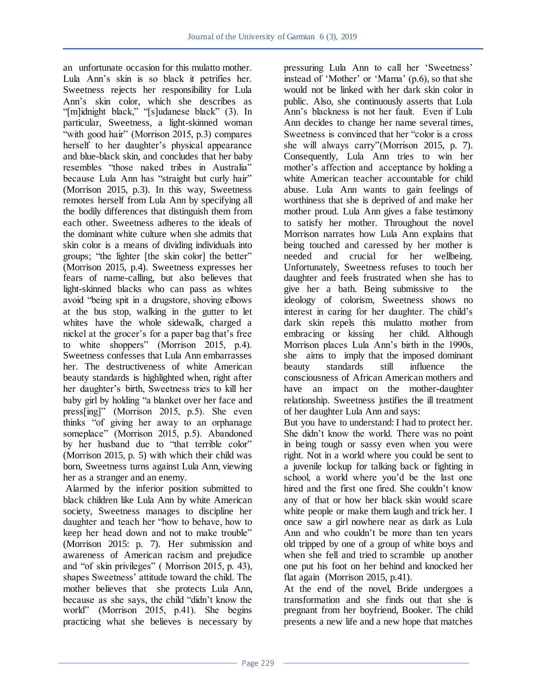an unfortunate occasion for this mulatto mother. Lula Ann's skin is so black it petrifies her. Sweetness rejects her responsibility for Lula Ann's skin color, which she describes as  $\lq$ <sup>"</sup>[m]idnight black," "[s]udanese black" (3). In particular, Sweetness, a light-skinned woman "with good hair" (Morrison 2015, p.3) compares herself to her daughter's physical appearance and blue-black skin, and concludes that her baby resembles "those naked tribes in Australia" because Lula Ann has "straight but curly hair" (Morrison 2015, p.3). In this way, Sweetness remotes herself from Lula Ann by specifying all the bodily differences that distinguish them from each other. Sweetness adheres to the ideals of the dominant white culture when she admits that skin color is a means of dividing individuals into groups; "the lighter [the skin color] the better" (Morrison 2015, p.4). Sweetness expresses her fears of name-calling, but also believes that light-skinned blacks who can pass as whites avoid "being spit in a drugstore, shoving elbows at the bus stop, walking in the gutter to let whites have the whole sidewalk, charged a nickel at the grocer's for a paper bag that's free to white shoppers" (Morrison  $2015$ , p.4). Sweetness confesses that Lula Ann embarrasses her. The destructiveness of white American beauty standards is highlighted when, right after her daughter's birth, Sweetness tries to kill her baby girl by holding "a blanket over her face and press[ing]" (Morrison 2015, p.5). She even thinks "of giving her away to an orphanage someplace" (Morrison 2015, p.5). Abandoned by her husband due to "that terrible color" (Morrison 2015, p. 5) with which their child was born, Sweetness turns against Lula Ann, viewing her as a stranger and an enemy.

Alarmed by the inferior position submitted to black children like Lula Ann by white American society, Sweetness manages to discipline her daughter and teach her "how to behave, how to keep her head down and not to make trouble" (Morrison 2015: p. 7). Her submission and awareness of American racism and prejudice and "of skin privileges" (Morrison 2015, p. 43), shapes Sweetness' attitude toward the child. The mother believes that she protects Lula Ann, because as she says, the child "didn't know the world" (Morrison 2015, p.41). She begins practicing what she believes is necessary by

pressuring Lula Ann to call her 'Sweetness' instead of 'Mother' or 'Mama'  $(p.6)$ , so that she would not be linked with her dark skin color in public. Also, she continuously asserts that Lula Ann's blackness is not her fault. Even if Lula Ann decides to change her name several times, Sweetness is convinced that her "color is a cross" she will always carry"(Morrison 2015, p. 7). Consequently, Lula Ann tries to win her mother's affection and acceptance by holding a white American teacher accountable for child abuse. Lula Ann wants to gain feelings of worthiness that she is deprived of and make her mother proud. Lula Ann gives a false testimony to satisfy her mother. Throughout the novel Morrison narrates how Lula Ann explains that being touched and caressed by her mother is needed and crucial for her wellbeing. Unfortunately, Sweetness refuses to touch her daughter and feels frustrated when she has to give her a bath. Being submissive to the ideology of colorism, Sweetness shows no interest in caring for her daughter. The child's dark skin repels this mulatto mother from embracing or kissing her child. Although Morrison places Lula Ann's birth in the 1990s, she aims to imply that the imposed dominant beauty standards still influence the consciousness of African American mothers and have an impact on the mother-daughter relationship. Sweetness justifies the ill treatment of her daughter Lula Ann and says:

But you have to understand: I had to protect her. She didn't know the world. There was no point in being tough or sassy even when you were right. Not in a world where you could be sent to a juvenile lockup for talking back or fighting in school, a world where you'd be the last one hired and the first one fired. She couldn't know any of that or how her black skin would scare white people or make them laugh and trick her. I once saw a girl nowhere near as dark as Lula Ann and who couldn't be more than ten years old tripped by one of a group of white boys and when she fell and tried to scramble up another one put his foot on her behind and knocked her flat again (Morrison 2015, p.41).

At the end of the novel, Bride undergoes a transformation and she finds out that she is pregnant from her boyfriend, Booker. The child presents a new life and a new hope that matches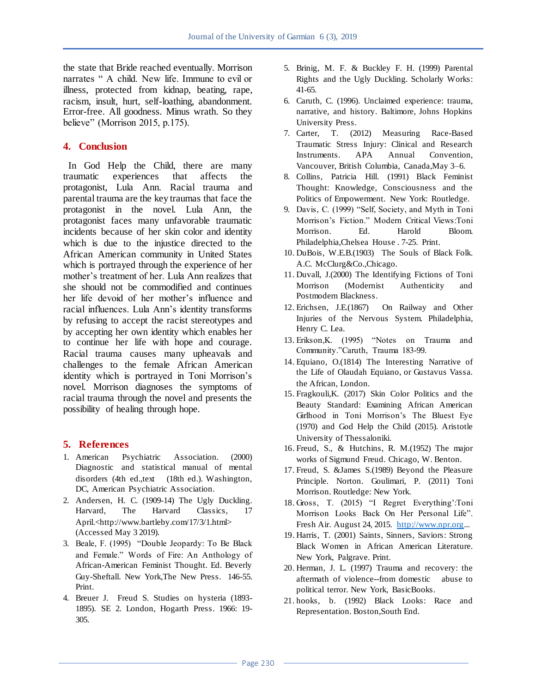the state that Bride reached eventually. Morrison narrates " A child. New life. Immune to evil or illness, protected from kidnap, beating, rape, racism, insult, hurt, self-loathing, abandonment. Error-free. All goodness. Minus wrath. So they believe" (Morrison 2015, p.175).

### **4. Conclusion**

 In God Help the Child, there are many traumatic experiences that affects the protagonist, Lula Ann. Racial trauma and parental trauma are the key traumas that face the protagonist in the novel. Lula Ann, the protagonist faces many unfavorable traumatic incidents because of her skin color and identity which is due to the injustice directed to the African American community in United States which is portrayed through the experience of her mother's treatment of her. Lula Ann realizes that she should not be commodified and continues her life devoid of her mother's influence and racial influences. Lula Ann's identity transforms by refusing to accept the racist stereotypes and by accepting her own identity which enables her to continue her life with hope and courage. Racial trauma causes many upheavals and challenges to the female African American identity which is portrayed in Toni Morrison's novel. Morrison diagnoses the symptoms of racial trauma through the novel and presents the possibility of healing through hope.

### **5. References**

- 1. American Psychiatric Association. (2000) Diagnostic and statistical manual of mental disorders (4th ed.,text (18th ed.). Washington, DC, American Psychiatric Association.
- 2. Andersen, H. C. (1909-14) The Ugly Duckling. Harvard, The Harvard Classics, 17 April.<http://www.bartleby.com/17/3/1.html> (Accessed May 3 2019).
- 3. Beale, F. (1995) "Double Jeopardy: To Be Black and Female." Words of Fire: An Anthology of African-American Feminist Thought. Ed. Beverly Guy-Sheftall. New York,The New Press. 146-55. Print.
- 4. Breuer J. Freud S. Studies on hysteria (1893- 1895). SE 2. London, Hogarth Press. 1966: 19- 305.
- 5. Brinig, M. F. & Buckley F. H. (1999) Parental Rights and the Ugly Duckling. Scholarly Works: 41-65.
- 6. Caruth, C. (1996). Unclaimed experience: trauma, narrative, and history. Baltimore, Johns Hopkins University Press.
- 7. Carter, T. (2012) Measuring Race-Based Traumatic Stress Injury: Clinical and Research Instruments. APA Annual Convention, Vancouver, British Columbia, Canada,May 3–6.
- 8. Collins, Patricia Hill. (1991) Black Feminist Thought: Knowledge, Consciousness and the Politics of Empowerment. New York: Routledge.
- 9. Davis, C. (1999) "Self, Society, and Myth in Toni Morrison's Fiction." Modern Critical Views:Toni Morrison. Ed. Harold Bloom. Philadelphia,Chelsea House . 7-25. Print.
- 10. DuBois, W.E.B.(1903) The Souls of Black Folk. A.C. McClurg&Co.,Chicago.
- 11. Duvall, J.(2000) The Identifying Fictions of Toni Morrison (Modernist Authenticity and Postmodern Blackness.
- 12. Erichsen, J.E.(1867) On Railway and Other Injuries of the Nervous System. Philadelphia, Henry C. Lea.
- 13. Erikson, K. (1995) 
"Notes on Trauma and Community."Caruth, Trauma 183-99.
- 14. Equiano, O.(1814) The Interesting Narrative of the Life of Olaudah Equiano, or Gustavus Vassa. the African, London.
- 15. Fragkouli,K. (2017) Skin Color Politics and the Beauty Standard: Examining African American Girlhood in Toni Morrison's The Bluest Eye (1970) and God Help the Child (2015). Aristotle University of Thessaloniki.
- 16. Freud, S., & Hutchins, R. M.(1952) The major works of Sigmund Freud. Chicago, W. Benton.
- 17. Freud, S. &James S.(1989) Beyond the Pleasure Principle. Norton. Goulimari, P. (2011) Toni Morrison. Routledge: New York.
- 18. Gross, T. (2015) "I Regret Everything':Toni Morrison Looks Back On Her Personal Life". Fresh Air. August 24, 2015. [http://www.npr.org.](http://www.npr.org/)..
- 19. Harris, T. (2001) Saints, Sinners, Saviors: Strong Black Women in African American Literature. New York, Palgrave. Print.
- 20. Herman, J. L. (1997) Trauma and recovery: the aftermath of violence--from domestic abuse to political terror. New York, BasicBooks.
- 21. hooks, b. (1992) Black Looks: Race and Representation. Boston,South End.